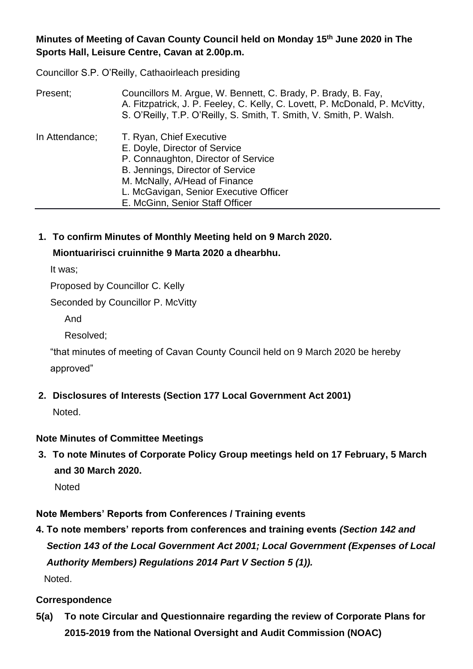**Minutes of Meeting of Cavan County Council held on Monday 15th June 2020 in The Sports Hall, Leisure Centre, Cavan at 2.00p.m.**

Councillor S.P. O'Reilly, Cathaoirleach presiding

| Present;       | Councillors M. Argue, W. Bennett, C. Brady, P. Brady, B. Fay,<br>A. Fitzpatrick, J. P. Feeley, C. Kelly, C. Lovett, P. McDonald, P. McVitty,<br>S. O'Reilly, T.P. O'Reilly, S. Smith, T. Smith, V. Smith, P. Walsh.                                |
|----------------|----------------------------------------------------------------------------------------------------------------------------------------------------------------------------------------------------------------------------------------------------|
| In Attendance; | T. Ryan, Chief Executive<br>E. Doyle, Director of Service<br>P. Connaughton, Director of Service<br>B. Jennings, Director of Service<br>M. McNally, A/Head of Finance<br>L. McGavigan, Senior Executive Officer<br>E. McGinn, Senior Staff Officer |

**1. To confirm Minutes of Monthly Meeting held on 9 March 2020.**

## **Miontuaririsci cruinnithe 9 Marta 2020 a dhearbhu.**

It was;

Proposed by Councillor C. Kelly

Seconded by Councillor P. McVitty

And

Resolved;

"that minutes of meeting of Cavan County Council held on 9 March 2020 be hereby approved"

**2. Disclosures of Interests (Section 177 Local Government Act 2001)**

Noted.

## **Note Minutes of Committee Meetings**

**3. To note Minutes of Corporate Policy Group meetings held on 17 February, 5 March and 30 March 2020.** 

**Noted** 

## **Note Members' Reports from Conferences / Training events**

**4. To note members' reports from conferences and training events** *(Section 142 and*  *Section 143 of the Local Government Act 2001; Local Government (Expenses of Local Authority Members) Regulations 2014 Part V Section 5 (1)).* Noted.

## **Correspondence**

**5(a) To note Circular and Questionnaire regarding the review of Corporate Plans for 2015-2019 from the National Oversight and Audit Commission (NOAC)**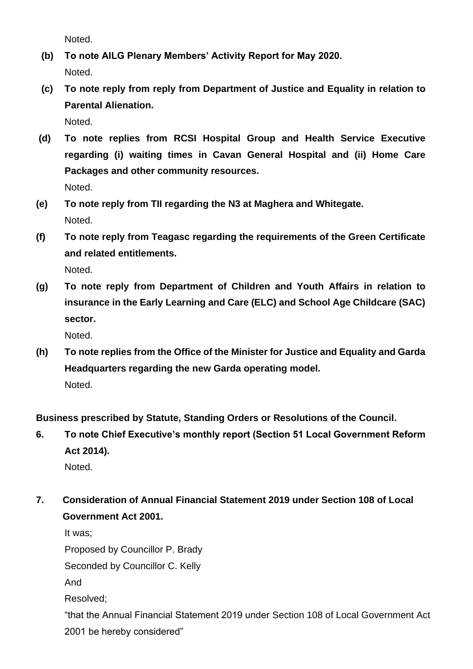Noted.

- **(b) To note AILG Plenary Members' Activity Report for May 2020.** Noted.
- **(c) To note reply from reply from Department of Justice and Equality in relation to Parental Alienation.**

Noted.

- **(d) To note replies from RCSI Hospital Group and Health Service Executive regarding (i) waiting times in Cavan General Hospital and (ii) Home Care Packages and other community resources.** Noted.
- **(e) To note reply from TII regarding the N3 at Maghera and Whitegate.** Noted.
- **(f) To note reply from Teagasc regarding the requirements of the Green Certificate and related entitlements.** Noted.
- **(g) To note reply from Department of Children and Youth Affairs in relation to insurance in the Early Learning and Care (ELC) and School Age Childcare (SAC) sector.**

Noted.

**(h) To note replies from the Office of the Minister for Justice and Equality and Garda Headquarters regarding the new Garda operating model.** Noted.

**Business prescribed by Statute, Standing Orders or Resolutions of the Council.**

**6. To note Chief Executive's monthly report (Section 51 Local Government Reform Act 2014).**

Noted.

**7. Consideration of Annual Financial Statement 2019 under Section 108 of Local Government Act 2001.**

It was;

Proposed by Councillor P. Brady

Seconded by Councillor C. Kelly

And

Resolved;

"that the Annual Financial Statement 2019 under Section 108 of Local Government Act 2001 be hereby considered"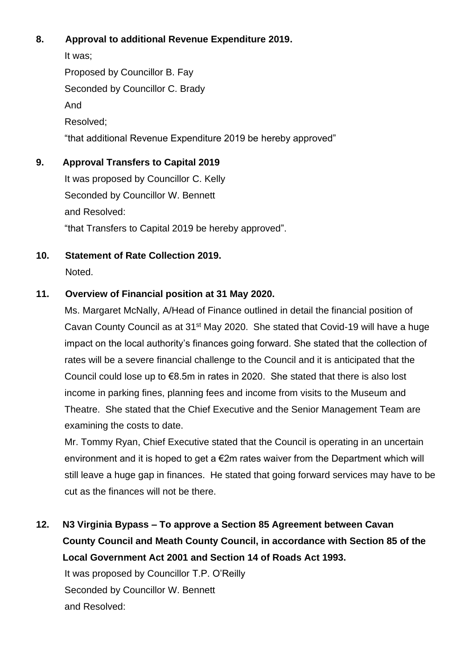## **8. Approval to additional Revenue Expenditure 2019.**

It was; Proposed by Councillor B. Fay Seconded by Councillor C. Brady And Resolved; "that additional Revenue Expenditure 2019 be hereby approved"

#### **9. Approval Transfers to Capital 2019**

It was proposed by Councillor C. Kelly Seconded by Councillor W. Bennett and Resolved: "that Transfers to Capital 2019 be hereby approved".

**10. Statement of Rate Collection 2019.** Noted.

#### **11. Overview of Financial position at 31 May 2020.**

Ms. Margaret McNally, A/Head of Finance outlined in detail the financial position of Cavan County Council as at 31<sup>st</sup> May 2020. She stated that Covid-19 will have a huge impact on the local authority's finances going forward. She stated that the collection of rates will be a severe financial challenge to the Council and it is anticipated that the Council could lose up to €8.5m in rates in 2020. She stated that there is also lost income in parking fines, planning fees and income from visits to the Museum and Theatre. She stated that the Chief Executive and the Senior Management Team are examining the costs to date.

Mr. Tommy Ryan, Chief Executive stated that the Council is operating in an uncertain environment and it is hoped to get a  $\epsilon$ 2m rates waiver from the Department which will still leave a huge gap in finances. He stated that going forward services may have to be cut as the finances will not be there.

**12. N3 Virginia Bypass – To approve a Section 85 Agreement between Cavan County Council and Meath County Council, in accordance with Section 85 of the Local Government Act 2001 and Section 14 of Roads Act 1993.**

It was proposed by Councillor T.P. O'Reilly Seconded by Councillor W. Bennett and Resolved: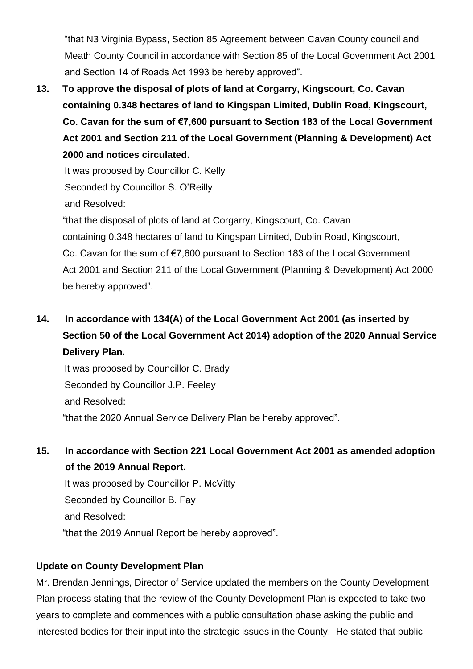"that N3 Virginia Bypass, Section 85 Agreement between Cavan County council and Meath County Council in accordance with Section 85 of the Local Government Act 2001 and Section 14 of Roads Act 1993 be hereby approved".

**13. To approve the disposal of plots of land at Corgarry, Kingscourt, Co. Cavan containing 0.348 hectares of land to Kingspan Limited, Dublin Road, Kingscourt, Co. Cavan for the sum of €7,600 pursuant to Section 183 of the Local Government Act 2001 and Section 211 of the Local Government (Planning & Development) Act 2000 and notices circulated.**

It was proposed by Councillor C. Kelly Seconded by Councillor S. O'Reilly and Resolved:

 "that the disposal of plots of land at Corgarry, Kingscourt, Co. Cavan containing 0.348 hectares of land to Kingspan Limited, Dublin Road, Kingscourt, Co. Cavan for the sum of €7,600 pursuant to Section 183 of the Local Government Act 2001 and Section 211 of the Local Government (Planning & Development) Act 2000 be hereby approved".

# **14. In accordance with 134(A) of the Local Government Act 2001 (as inserted by Section 50 of the Local Government Act 2014) adoption of the 2020 Annual Service Delivery Plan.**

It was proposed by Councillor C. Brady Seconded by Councillor J.P. Feeley and Resolved: "that the 2020 Annual Service Delivery Plan be hereby approved".

## **15. In accordance with Section 221 Local Government Act 2001 as amended adoption of the 2019 Annual Report.**

It was proposed by Councillor P. McVitty Seconded by Councillor B. Fay and Resolved: "that the 2019 Annual Report be hereby approved".

## **Update on County Development Plan**

Mr. Brendan Jennings, Director of Service updated the members on the County Development Plan process stating that the review of the County Development Plan is expected to take two years to complete and commences with a public consultation phase asking the public and interested bodies for their input into the strategic issues in the County. He stated that public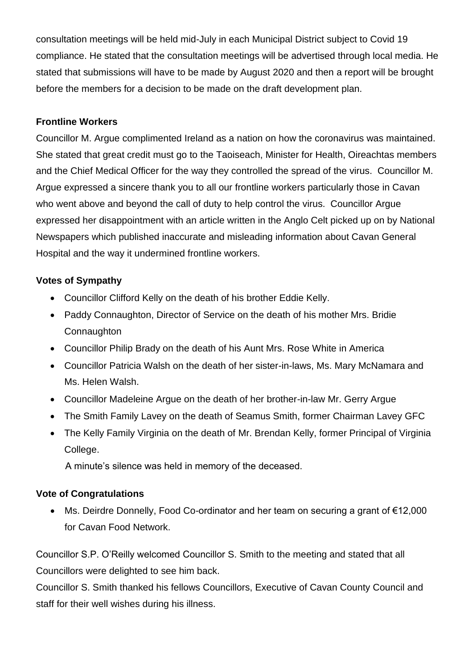consultation meetings will be held mid-July in each Municipal District subject to Covid 19 compliance. He stated that the consultation meetings will be advertised through local media. He stated that submissions will have to be made by August 2020 and then a report will be brought before the members for a decision to be made on the draft development plan.

### **Frontline Workers**

Councillor M. Argue complimented Ireland as a nation on how the coronavirus was maintained. She stated that great credit must go to the Taoiseach, Minister for Health, Oireachtas members and the Chief Medical Officer for the way they controlled the spread of the virus. Councillor M. Argue expressed a sincere thank you to all our frontline workers particularly those in Cavan who went above and beyond the call of duty to help control the virus. Councillor Argue expressed her disappointment with an article written in the Anglo Celt picked up on by National Newspapers which published inaccurate and misleading information about Cavan General Hospital and the way it undermined frontline workers.

### **Votes of Sympathy**

- Councillor Clifford Kelly on the death of his brother Eddie Kelly.
- Paddy Connaughton, Director of Service on the death of his mother Mrs. Bridie **Connaughton**
- Councillor Philip Brady on the death of his Aunt Mrs. Rose White in America
- Councillor Patricia Walsh on the death of her sister-in-laws, Ms. Mary McNamara and Ms. Helen Walsh.
- Councillor Madeleine Argue on the death of her brother-in-law Mr. Gerry Argue
- The Smith Family Lavey on the death of Seamus Smith, former Chairman Lavey GFC
- The Kelly Family Virginia on the death of Mr. Brendan Kelly, former Principal of Virginia College.

A minute's silence was held in memory of the deceased.

#### **Vote of Congratulations**

• Ms. Deirdre Donnelly, Food Co-ordinator and her team on securing a grant of €12,000 for Cavan Food Network.

Councillor S.P. O'Reilly welcomed Councillor S. Smith to the meeting and stated that all Councillors were delighted to see him back.

Councillor S. Smith thanked his fellows Councillors, Executive of Cavan County Council and staff for their well wishes during his illness.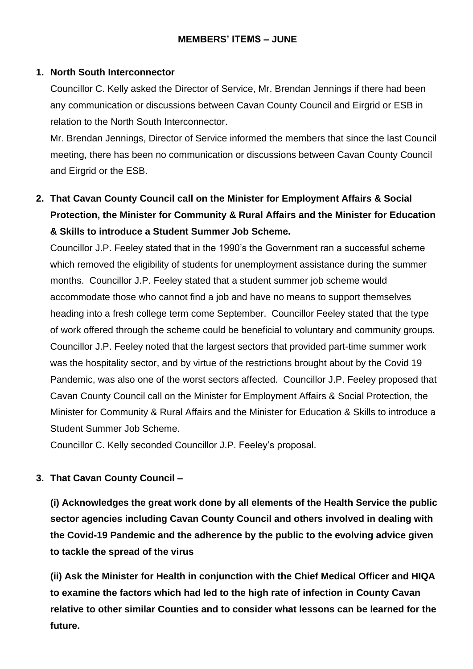### **MEMBERS' ITEMS – JUNE**

#### **1. North South Interconnector**

Councillor C. Kelly asked the Director of Service, Mr. Brendan Jennings if there had been any communication or discussions between Cavan County Council and Eirgrid or ESB in relation to the North South Interconnector.

Mr. Brendan Jennings, Director of Service informed the members that since the last Council meeting, there has been no communication or discussions between Cavan County Council and Eirgrid or the ESB.

# **2. That Cavan County Council call on the Minister for Employment Affairs & Social Protection, the Minister for Community & Rural Affairs and the Minister for Education & Skills to introduce a Student Summer Job Scheme.**

Councillor J.P. Feeley stated that in the 1990's the Government ran a successful scheme which removed the eligibility of students for unemployment assistance during the summer months. Councillor J.P. Feeley stated that a student summer job scheme would accommodate those who cannot find a job and have no means to support themselves heading into a fresh college term come September. Councillor Feeley stated that the type of work offered through the scheme could be beneficial to voluntary and community groups. Councillor J.P. Feeley noted that the largest sectors that provided part-time summer work was the hospitality sector, and by virtue of the restrictions brought about by the Covid 19 Pandemic, was also one of the worst sectors affected. Councillor J.P. Feeley proposed that Cavan County Council call on the Minister for Employment Affairs & Social Protection, the Minister for Community & Rural Affairs and the Minister for Education & Skills to introduce a Student Summer Job Scheme.

Councillor C. Kelly seconded Councillor J.P. Feeley's proposal.

#### **3. That Cavan County Council –**

**(i) Acknowledges the great work done by all elements of the Health Service the public sector agencies including Cavan County Council and others involved in dealing with the Covid-19 Pandemic and the adherence by the public to the evolving advice given to tackle the spread of the virus**

**(ii) Ask the Minister for Health in conjunction with the Chief Medical Officer and HIQA to examine the factors which had led to the high rate of infection in County Cavan relative to other similar Counties and to consider what lessons can be learned for the future.**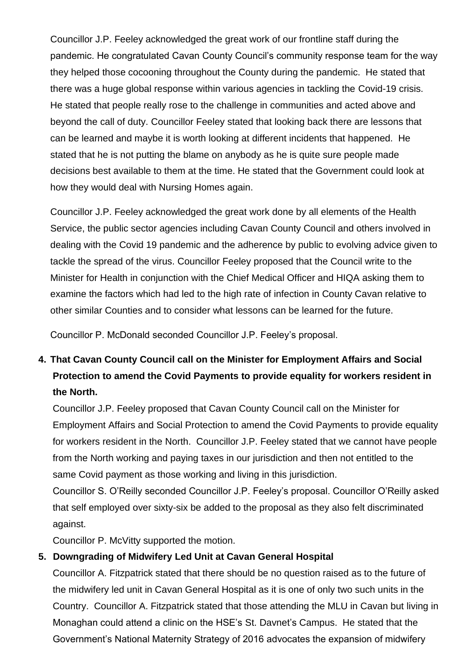Councillor J.P. Feeley acknowledged the great work of our frontline staff during the pandemic. He congratulated Cavan County Council's community response team for the way they helped those cocooning throughout the County during the pandemic. He stated that there was a huge global response within various agencies in tackling the Covid-19 crisis. He stated that people really rose to the challenge in communities and acted above and beyond the call of duty. Councillor Feeley stated that looking back there are lessons that can be learned and maybe it is worth looking at different incidents that happened. He stated that he is not putting the blame on anybody as he is quite sure people made decisions best available to them at the time. He stated that the Government could look at how they would deal with Nursing Homes again.

Councillor J.P. Feeley acknowledged the great work done by all elements of the Health Service, the public sector agencies including Cavan County Council and others involved in dealing with the Covid 19 pandemic and the adherence by public to evolving advice given to tackle the spread of the virus. Councillor Feeley proposed that the Council write to the Minister for Health in conjunction with the Chief Medical Officer and HIQA asking them to examine the factors which had led to the high rate of infection in County Cavan relative to other similar Counties and to consider what lessons can be learned for the future.

Councillor P. McDonald seconded Councillor J.P. Feeley's proposal.

# **4. That Cavan County Council call on the Minister for Employment Affairs and Social Protection to amend the Covid Payments to provide equality for workers resident in the North.**

Councillor J.P. Feeley proposed that Cavan County Council call on the Minister for Employment Affairs and Social Protection to amend the Covid Payments to provide equality for workers resident in the North. Councillor J.P. Feeley stated that we cannot have people from the North working and paying taxes in our jurisdiction and then not entitled to the same Covid payment as those working and living in this jurisdiction.

Councillor S. O'Reilly seconded Councillor J.P. Feeley's proposal. Councillor O'Reilly asked that self employed over sixty-six be added to the proposal as they also felt discriminated against.

Councillor P. McVitty supported the motion.

## **5. Downgrading of Midwifery Led Unit at Cavan General Hospital**

Councillor A. Fitzpatrick stated that there should be no question raised as to the future of the midwifery led unit in Cavan General Hospital as it is one of only two such units in the Country. Councillor A. Fitzpatrick stated that those attending the MLU in Cavan but living in Monaghan could attend a clinic on the HSE's St. Davnet's Campus. He stated that the Government's National Maternity Strategy of 2016 advocates the expansion of midwifery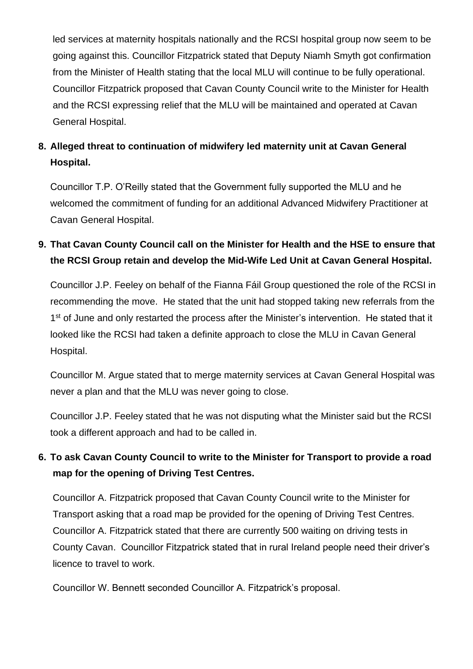led services at maternity hospitals nationally and the RCSI hospital group now seem to be going against this. Councillor Fitzpatrick stated that Deputy Niamh Smyth got confirmation from the Minister of Health stating that the local MLU will continue to be fully operational. Councillor Fitzpatrick proposed that Cavan County Council write to the Minister for Health and the RCSI expressing relief that the MLU will be maintained and operated at Cavan General Hospital.

## **8. Alleged threat to continuation of midwifery led maternity unit at Cavan General Hospital.**

Councillor T.P. O'Reilly stated that the Government fully supported the MLU and he welcomed the commitment of funding for an additional Advanced Midwifery Practitioner at Cavan General Hospital.

## **9. That Cavan County Council call on the Minister for Health and the HSE to ensure that the RCSI Group retain and develop the Mid-Wife Led Unit at Cavan General Hospital.**

Councillor J.P. Feeley on behalf of the Fianna Fáil Group questioned the role of the RCSI in recommending the move. He stated that the unit had stopped taking new referrals from the 1<sup>st</sup> of June and only restarted the process after the Minister's intervention. He stated that it looked like the RCSI had taken a definite approach to close the MLU in Cavan General Hospital.

Councillor M. Argue stated that to merge maternity services at Cavan General Hospital was never a plan and that the MLU was never going to close.

Councillor J.P. Feeley stated that he was not disputing what the Minister said but the RCSI took a different approach and had to be called in.

## **6. To ask Cavan County Council to write to the Minister for Transport to provide a road map for the opening of Driving Test Centres.**

Councillor A. Fitzpatrick proposed that Cavan County Council write to the Minister for Transport asking that a road map be provided for the opening of Driving Test Centres. Councillor A. Fitzpatrick stated that there are currently 500 waiting on driving tests in County Cavan. Councillor Fitzpatrick stated that in rural Ireland people need their driver's licence to travel to work.

Councillor W. Bennett seconded Councillor A. Fitzpatrick's proposal.